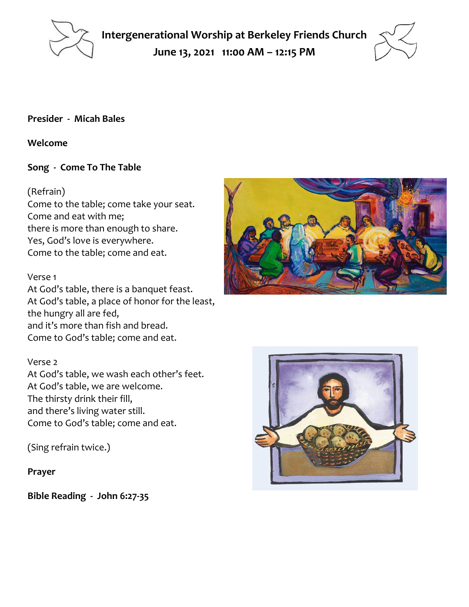

**Intergenerational Worship at Berkeley Friends Church June 13, 2021 11:00 AM – 12:15 PM**



### **Presider - Micah Bales**

#### **Welcome**

### **Song - Come To The Table**

### (Refrain)

Come to the table; come take your seat. Come and eat with me; there is more than enough to share. Yes, God's love is everywhere. Come to the table; come and eat.

#### Verse 1

At God's table, there is a banquet feast. At God's table, a place of honor for the least, the hungry all are fed, and it's more than fish and bread. Come to God's table; come and eat.

#### Verse 2

At God's table, we wash each other's feet. At God's table, we are welcome. The thirsty drink their fill, and there's living water still. Come to God's table; come and eat.

(Sing refrain twice.)

**Prayer**

**Bible Reading - John 6:27-35**



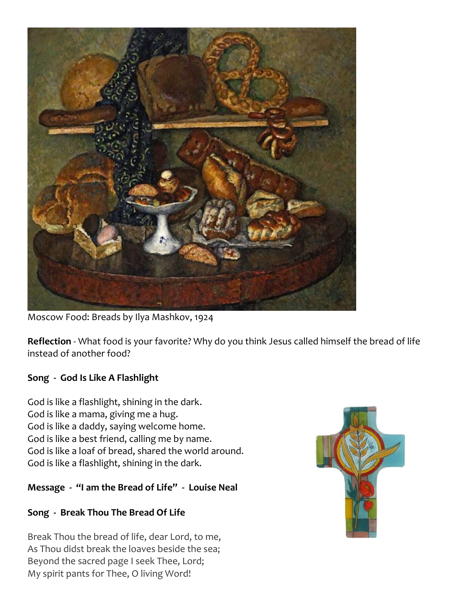

Moscow Food: Breads by Ilya Mashkov, 1924

**Reflection** - What food is your favorite? Why do you think Jesus called himself the bread of life instead of another food?

## **Song - God Is Like A Flashlight**

God is like a flashlight, shining in the dark. God is like a mama, giving me a hug. God is like a daddy, saying welcome home. God is like a best friend, calling me by name. God is like a loaf of bread, shared the world around. God is like a flashlight, shining in the dark.

### **Message - "I am the Bread of Life" - Louise Neal**

## **Song - Break Thou The Bread Of Life**

Break Thou the bread of life, dear Lord, to me, As Thou didst break the loaves beside the sea; Beyond the sacred page I seek Thee, Lord; My spirit pants for Thee, O living Word!

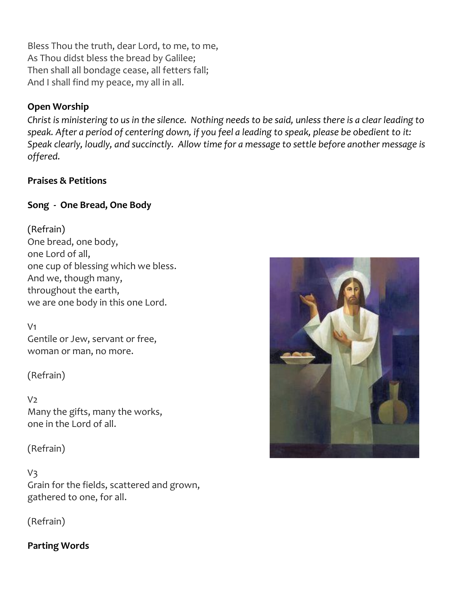Bless Thou the truth, dear Lord, to me, to me, As Thou didst bless the bread by Galilee; Then shall all bondage cease, all fetters fall; And I shall find my peace, my all in all.

# **Open Worship**

*Christ is ministering to us in the silence. Nothing needs to be said, unless there is a clear leading to speak. After a period of centering down, if you feel a leading to speak, please be obedient to it: Speak clearly, loudly, and succinctly. Allow time for a message to settle before another message is offered.*

## **Praises & Petitions**

# **Song - One Bread, One Body**

(Refrain) One bread, one body, one Lord of all, one cup of blessing which we bless. And we, though many, throughout the earth, we are one body in this one Lord.

V1 Gentile or Jew, servant or free, woman or man, no more.

(Refrain)

 $V<sub>2</sub>$ Many the gifts, many the works, one in the Lord of all.

(Refrain)

## V3

Grain for the fields, scattered and grown, gathered to one, for all.

(Refrain)

## **Parting Words**

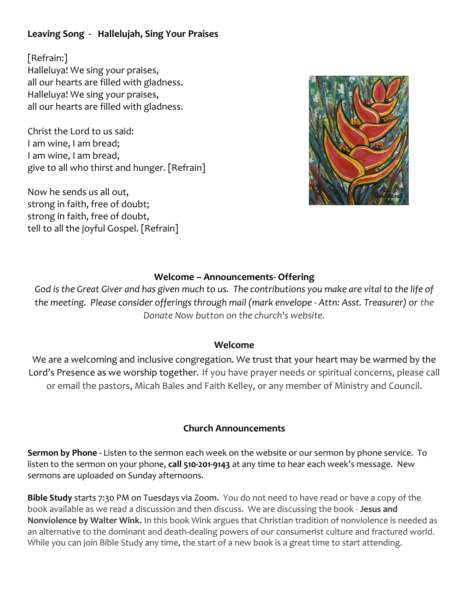# **Leaving Song - Hallelujah, Sing Your Praises**

[Refrain:] Halleluya! We sing your praises, all our hearts are filled with gladness. Halleluya! We sing your praises, all our hearts are filled with gladness.

Christ the Lord to us said: I am wine, I am bread; I am wine, I am bread, give to all who thirst and hunger. [Refrain]

Now he sends us all out, strong in faith, free of doubt; strong in faith, free of doubt, tell to all the joyful Gospel. [Refrain]



## **Welcome – Announcements- Offering**

*God is the Great Giver and has given much to us. The contributions you make are vital to the life of the meeting. Please consider offerings through mail (mark envelope - Attn: Asst. Treasurer) or the Donate Now button on the church's website.*

#### **Welcome**

We are a welcoming and inclusive congregation. We trust that your heart may be warmed by the Lord's Presence as we worship together. If you have prayer needs or spiritual concerns, please call or email the pastors, Micah Bales and Faith Kelley, or any member of Ministry and Council.

### **Church Announcements**

**Sermon by Phone -** Listen to the sermon each week on the website or our sermon by phone service. To listen to the sermon on your phone, **call 510-201-9143** at any time to hear each week's message. New sermons are uploaded on Sunday afternoons.

**Bible Study** starts 7:30 PM on Tuesdays via Zoom. You do not need to have read or have a copy of the book available as we read a discussion and then discuss. We are discussing the book - **Jesus and Nonviolence by Walter Wink.** In this book Wink argues that Christian tradition of nonviolence is needed as an alternative to the dominant and death-dealing powers of our consumerist culture and fractured world. While you can join Bible Study any time, the start of a new book is a great time to start attending.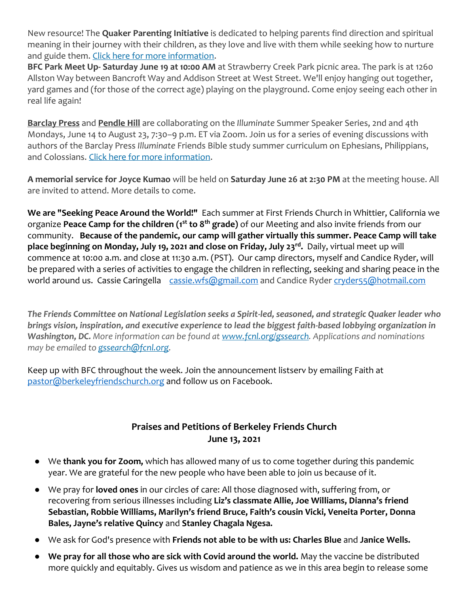New resource! The **Quaker Parenting Initiative** is dedicated to helping parents find direction and spiritual meaning in their journey with their children, as they love and live with them while seeking how to nurture and guide them. [Click here for more information.](https://scymf.us15.list-manage.com/track/click?u=b3919ba778f46050fb765c146&id=e0c462929f&e=445a862d65)

**BFC Park Meet Up- Saturday June 19 at 10:00 AM** at Strawberry Creek Park picnic area. The park is at 1260 Allston Way between Bancroft Way and Addison Street at West Street. We'll enjoy hanging out together, yard games and (for those of the correct age) playing on the playground. Come enjoy seeing each other in real life again!

**Barclay Press** and **Pendle Hill** are collaborating on the *Illuminate* Summer Speaker Series, 2nd and 4th Mondays, June 14 to August 23, 7:30–9 p.m. ET via Zoom. Join us for a series of evening discussions with authors of the Barclay Press *Illuminate* Friends Bible study summer curriculum on Ephesians, Philippians, and Colossians. [Click here for more information.](https://scymf.us15.list-manage.com/track/click?u=b3919ba778f46050fb765c146&id=8d1e399759&e=445a862d65)

**A memorial service for Joyce Kumao** will be held on **Saturday June 26 at 2:30 PM** at the meeting house. All are invited to attend. More details to come.

**We are "Seeking Peace Around the World!"** Each summer at First Friends Church in Whittier, California we organize **Peace Camp for the children (1st to 8th grade)** of our Meeting and also invite friends from our community. **Because of the pandemic, our camp will gather virtually this summer. Peace Camp will take place beginning on Monday, July 19, 2021 and close on Friday, July 23rd .** Daily, virtual meet up will commence at 10:00 a.m. and close at 11:30 a.m. (PST). Our camp directors, myself and Candice Ryder, will be prepared with a series of activities to engage the children in reflecting, seeking and sharing peace in the world around us. Cassie Caringella [cassie.wfs@gmail.com](mailto:cassie.wfs@gmail.com) and Candice Ryder [cryder55@hotmail.com](mailto:cryder55@hotmail.com)

*The Friends Committee on National Legislation seeks a Spirit-led, seasoned, and strategic Quaker leader who brings vision, inspiration, and executive experience to lead the biggest faith-based lobbying organization in Washington, DC. More information can be found at [www.fcnl.org/gssearch.](https://act.fcnl.org/go/112662?t=17&utm_campaign=gc&utm_source=ak&utm_medium=email&akid=17588%2E153664%2ESI2Jbp) Applications and nominations may be emailed to [gssearch@fcnl.org.](mailto:gssearch@fcnl.org)*

Keep up with BFC throughout the week. Join the announcement listserv by emailing Faith at [pastor@berkeleyfriendschurch.org](mailto:pastor@berkeleyfriendschurch.org) and follow us on Facebook.

## **Praises and Petitions of Berkeley Friends Church June 13, 2021**

- We **thank you for Zoom,** which has allowed many of us to come together during this pandemic year. We are grateful for the new people who have been able to join us because of it.
- We pray for **loved ones** in our circles of care: All those diagnosed with, suffering from, or recovering from serious illnesses including **Liz's classmate Allie, Joe Williams, Dianna's friend Sebastian, Robbie Williams, Marilyn's friend Bruce, Faith's cousin Vicki, Veneita Porter, Donna Bales, Jayne's relative Quincy** and **Stanley Chagala Ngesa.**
- We ask for God's presence with **Friends not able to be with us: Charles Blue** and **Janice Wells.**
- **We pray for all those who are sick with Covid around the world.** May the vaccine be distributed more quickly and equitably. Gives us wisdom and patience as we in this area begin to release some